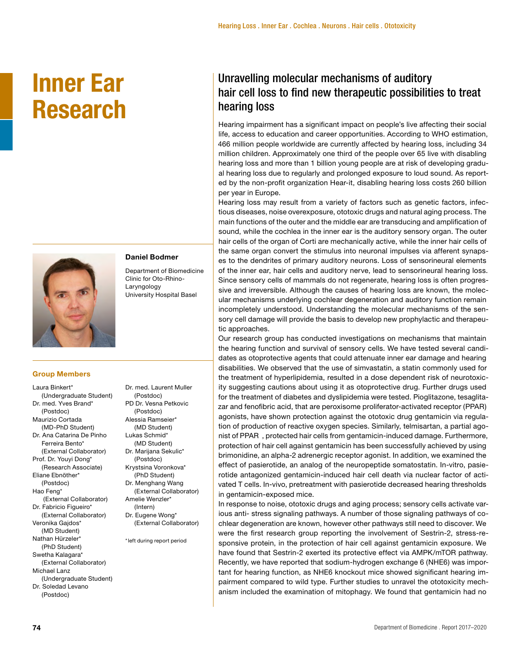# **Inner Ear Research**



## **Daniel Bodmer**

Department of Biomedicine Clinic for Oto-Rhino-Laryngology University Hospital Basel

#### **Group Members**

Laura Binkert\* (Undergraduate Student) Dr. med. Yves Brand\* (Postdoc) Maurizio Cortada (MD-PhD Student) Dr. Ana Catarina De Pinho Ferreira Bento\* (External Collaborator) Prof. Dr. Youyi Dong\* (Research Associate) Eliane Ebnöther\* (Postdoc) Hao Feng\* (External Collaborator) Dr. Fabricio Figueiro\* (External Collaborator) Veronika Gajdos\* (MD Student) Nathan Hürzeler\* (PhD Student) Swetha Kalagara\* (External Collaborator) Michael Lanz (Undergraduate Student) Dr. Soledad Levano (Postdoc)

Dr. med. Laurent Muller (Postdoc) PD Dr. Vesna Petkovic (Postdoc) Alessia Ramseier\* (MD Student) Lukas Schmid\* (MD Student) Dr. Marijana Sekulic\* (Postdoc) Krystsina Voronkova\* (PhD Student) Dr. Menghang Wang (External Collaborator) Amelie Wenzler\* (Intern) Dr. Eugene Wong\* (External Collaborator) \*left during report period

# Unravelling molecular mechanisms of auditory hair cell loss to find new therapeutic possibilities to treat hearing loss

Hearing impairment has a significant impact on people's live affecting their social life, access to education and career opportunities. According to WHO estimation, 466 million people worldwide are currently affected by hearing loss, including 34 million children. Approximately one third of the people over 65 live with disabling hearing loss and more than 1 billion young people are at risk of developing gradual hearing loss due to regularly and prolonged exposure to loud sound. As reported by the non-profit organization Hear-it, disabling hearing loss costs 260 billion per year in Europe.

Hearing loss may result from a variety of factors such as genetic factors, infectious diseases, noise overexposure, ototoxic drugs and natural aging process. The main functions of the outer and the middle ear are transducing and amplification of sound, while the cochlea in the inner ear is the auditory sensory organ. The outer hair cells of the organ of Corti are mechanically active, while the inner hair cells of the same organ convert the stimulus into neuronal impulses via afferent synapses to the dendrites of primary auditory neurons. Loss of sensorineural elements of the inner ear, hair cells and auditory nerve, lead to sensorineural hearing loss. Since sensory cells of mammals do not regenerate, hearing loss is often progressive and irreversible. Although the causes of hearing loss are known, the molecular mechanisms underlying cochlear degeneration and auditory function remain incompletely understood. Understanding the molecular mechanisms of the sensory cell damage will provide the basis to develop new prophylactic and therapeutic approaches.

Our research group has conducted investigations on mechanisms that maintain the hearing function and survival of sensory cells. We have tested several candidates as otoprotective agents that could attenuate inner ear damage and hearing disabilities. We observed that the use of simvastatin, a statin commonly used for the treatment of hyperlipidemia, resulted in a dose dependent risk of neurotoxicity suggesting cautions about using it as otoprotective drug. Further drugs used for the treatment of diabetes and dyslipidemia were tested. Pioglitazone, tesaglitazar and fenofibric acid, that are peroxisome proliferator-activated receptor (PPAR) agonists, have shown protection against the ototoxic drug gentamicin via regulation of production of reactive oxygen species. Similarly, telmisartan, a partial agonist of PPAR , protected hair cells from gentamicin-induced damage. Furthermore, protection of hair cell against gentamicin has been successfully achieved by using brimonidine, an alpha-2 adrenergic receptor agonist. In addition, we examined the effect of pasierotide, an analog of the neuropeptide somatostatin. In-vitro, pasierotide antagonized gentamicin-induced hair cell death via nuclear factor of activated T cells. In-vivo, pretreatment with pasierotide decreased hearing thresholds in gentamicin-exposed mice.

In response to noise, ototoxic drugs and aging process; sensory cells activate various anti- stress signaling pathways. A number of those signaling pathways of cochlear degeneration are known, however other pathways still need to discover. We were the first research group reporting the involvement of Sestrin-2, stress-responsive protein, in the protection of hair cell against gentamicin exposure. We have found that Sestrin-2 exerted its protective effect via AMPK/mTOR pathway. Recently, we have reported that sodium-hydrogen exchange 6 (NHE6) was important for hearing function, as NHE6 knockout mice showed significant hearing impairment compared to wild type. Further studies to unravel the ototoxicity mechanism included the examination of mitophagy. We found that gentamicin had no